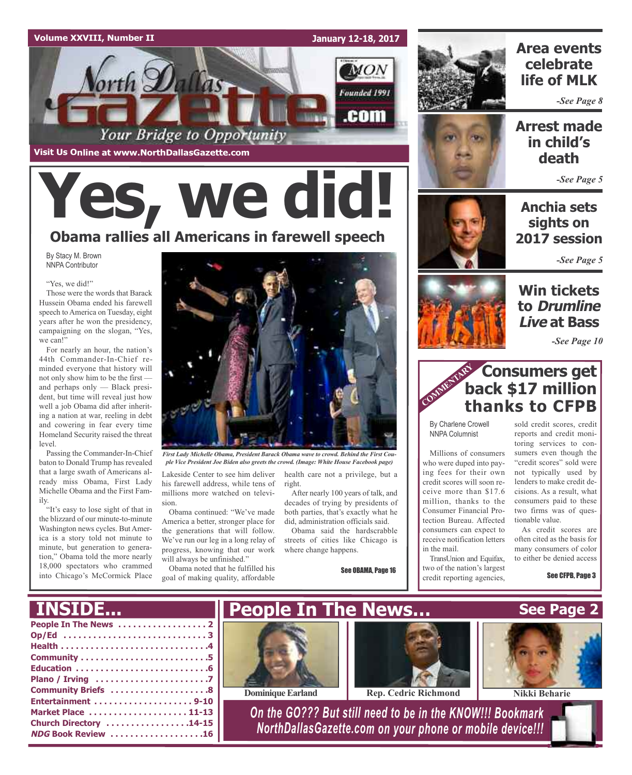

**Visit Us Online at www.NorthDallasGazette.com**

*Vorth Dallas* 

**January 12-18, 2017**

MON

Founded 1991

.com



### **Area events celebrate life of MLK**

*-See Page 8*

### **Arrest made in child's death**

*-See Page 5*

**Anchia sets sights on 2017 session**

*-See Page 5*

### **Win tickets to Drumline Live at Bass**

*-See Page 10*



By Charlene Crowell NNPA Columnist

Millions of consumers who were duped into paying fees for their own credit scores will soon receive more than \$17.6 million, thanks to the Consumer Financial Protection Bureau. Affected consumers can expect to receive notification letters in the mail.

TransUnion and Equifax, two of the nation's largest credit reporting agencies,

sold credit scores, credit reports and credit monitoring services to consumers even though the "credit scores" sold were not typically used by lenders to make credit decisions. As a result, what consumers paid to these two firms was of questionable value.

As credit scores are often cited as the basis for many consumers of color to either be denied access

See CFPB, Page 3

## By Stacy M. Brown NNPA Contributor **Yes, we did! Obama rallies all Americans in farewell speech**

Your Bridge to Opportunity

"Yes, we did!"

Those were the words that Barack Hussein Obama ended his farewell speech to America on Tuesday, eight years after he won the presidency, campaigning on the slogan, "Yes, we can!"

For nearly an hour, the nation's 44th Commander-In-Chief reminded everyone that history will not only show him to be the first and perhaps only — Black president, but time will reveal just how well a job Obama did after inheriting a nation at war, reeling in debt and cowering in fear every time Homeland Security raised the threat level.

Passing the Commander-In-Chief baton to Donald Trump has revealed that a large swath of Americans already miss Obama, First Lady Michelle Obama and the First Family.

"It's easy to lose sight of that in the blizzard of our minute-to-minute Washington news cycles. But America is a story told not minute to minute, but generation to generation," Obama told the more nearly 18,000 spectators who crammed into Chicago's McCormick Place



*First Lady Michelle Obama, President Barack Obama wave to crowd. Behind the First Couple Vice President Joe Biden also greets the crowd. (Image: White House Facebook page)*

Lakeside Center to see him deliver his farewell address, while tens of millions more watched on television.

Obama continued: "We've made America a better, stronger place for the generations that will follow. We've run our leg in a long relay of progress, knowing that our work will always be unfinished."

Obama noted that he fulfilled his goal of making quality, affordable health care not a privilege, but a right. After nearly 100 years of talk, and

decades of trying by presidents of both parties, that's exactly what he did, administration officials said. Obama said the hardscrabble

streets of cities like Chicago is where change happens.

See OBAMA, Page 16



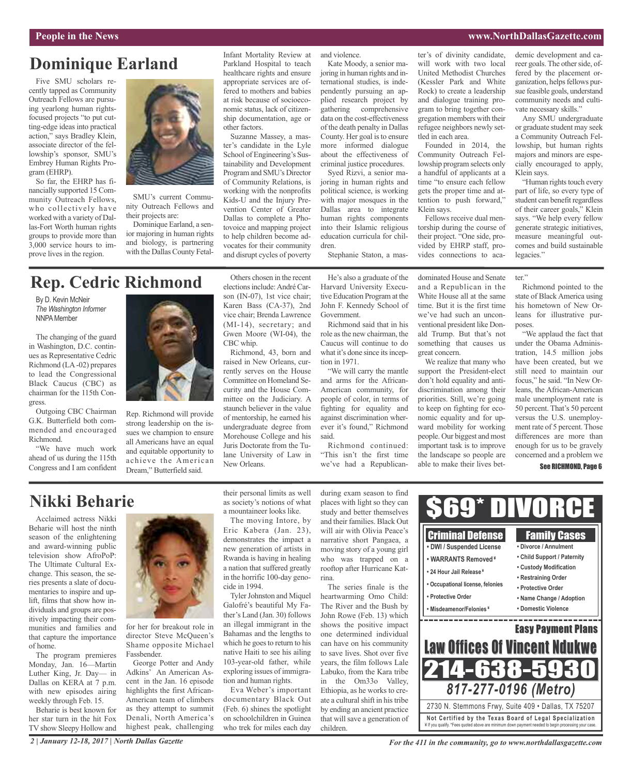#### **People in the News www.NorthDallasGazette.com**

### **Dominique Earland**

Five SMU scholars recently tapped as Community Outreach Fellows are pursuing yearlong human rightsfocused projects "to put cutting-edge ideas into practical action," says Bradley Klein, associate director of the fellowship's sponsor, SMU's Embrey Human Rights Program (EHRP).

So far, the EHRP has financially supported 15 Community Outreach Fellows, who collectively have worked with a variety of Dallas-Fort Worth human rights groups to provide more than 3,000 service hours to improve lives in the region.



SMU's current Community Outreach Fellows and their projects are:

Dominique Earland, a senior majoring in human rights and biology, is partnering with the Dallas County FetalInfant Mortality Review at Parkland Hospital to teach healthcare rights and ensure appropriate services are offered to mothers and babies at risk because of socioeconomic status, lack of citizenship documentation, age or other factors.

Suzanne Massey, a master's candidate in the Lyle School of Engineering's Sustainability and Development Program and SMU's Director of Community Relations, is working with the nonprofits Kids-U and the Injury Prevention Center of Greater Dallas to complete a Photovoice and mapping project to help children become advocates for their community and disrupt cycles of poverty

and violence.

Kate Moody, a senior majoring in human rights and international studies, is independently pursuing an applied research project by gathering comprehensive data on the cost-effectiveness of the death penalty in Dallas County. Her goal is to ensure more informed dialogue about the effectiveness of criminal justice procedures.

Syed Rizvi, a senior majoring in human rights and political science, is working with major mosques in the Dallas area to integrate human rights components

into their Islamic religious education curricula for chil-

dren. Stephanie Staton, a master's of divinity candidate, will work with two local United Methodist Churches (Kessler Park and White Rock) to create a leadership and dialogue training program to bring together congregation members with their refugee neighbors newly settled in each area.

Founded in 2014, the Community Outreach Fellowship program selects only a handful of applicants at a time "to ensure each fellow gets the proper time and attention to push forward," Klein says.

Fellows receive dual mentorship during the course of their project. "One side, provided by EHRP staff, provides connections to academic development and career goals. The other side, offered by the placement organization, helps fellows pursue feasible goals, understand community needs and cultivate necessary skills."

Any SMU undergraduate or graduate student may seek a Community Outreach Fellowship, but human rights majors and minors are especially encouraged to apply, Klein says.

"Human rights touch every part of life, so every type of student can benefit regardless of their career goals," Klein says. "We help every fellow generate strategic initiatives, measure meaningful outcomes and build sustainable legacies."

### **Rep. Cedric Richmond**

By D. Kevin McNeir *The Washington Informer* **NNPA** Member

The changing of the guard in Washington, D.C. continues as Representative Cedric Richmond (LA-02) prepares to lead the Congressional Black Caucus (CBC) as chairman for the 115th Congress.

Outgoing CBC Chairman G.K. Butterfield both commended and encouraged Richmond.

"We have much work ahead of us during the 115th Congress and I am confident



Rep. Richmond will provide strong leadership on the issues we champion to ensure all Americans have an equal and equitable opportunity to achieve the American Dream," Butterfield said.

elections include: André Carson (IN-07), 1st vice chair;

Others chosen in the recent

raised in New Orleans, currently serves on the House Committee on Homeland Security and the House Committee on the Judiciary. A staunch believer in the value of mentorship, he earned his undergraduate degree from Morehouse College and his Juris Doctorate from the Tulane University of Law in New Orleans.

He's also a graduate of the Harvard University Executive Education Program at the John F. Kennedy School of Government.

Richmond said that in his role asthe new chairman, the Caucus will continue to do what it's done since its inception in 1971.

"We will carry the mantle and arms for the African-American community, for people of color, in terms of fighting for equality and against discrimination wherever it's found," Richmond said.

Richmond continued: "This isn't the first time we've had a Republicandominated House and Senate and a Republican in the White House all at the same time. But it is the first time we've had such an unconventional president like Donald Trump. But that's not something that causes us great concern.

We realize that many who support the President-elect don't hold equality and antidiscrimination among their priorities. Still, we're going to keep on fighting for economic equality and for upward mobility for working people. Our biggest and most important task is to improve the landscape so people are able to make their lives bet-

Richmond pointed to the state of Black America using his hometown of New Orleans for illustrative purposes.

ter."

"We applaud the fact that under the Obama Administration, 14.5 million jobs have been created, but we still need to maintain our focus," he said. "In New Orleans, the African-American male unemployment rate is 50 percent. That's 50 percent versus the U.S. unemployment rate of 5 percent. Those differences are more than enough for us to be gravely concerned and a problem we

#### See RICHMOND, Page 6

### **Nikki Beharie**

Acclaimed actress Nikki Beharie will host the ninth season of the enlightening and award-winning public television show AfroPoP: The Ultimate Cultural Exchange. This season, the series presents a slate of documentaries to inspire and uplift, films that show how individuals and groups are positively impacting their communities and families and that capture the importance of home.

The program premieres Monday, Jan. 16—Martin Luther King, Jr. Day— in Dallas on KERA at 7 p.m. with new episodes airing weekly through Feb. 15.

Beharie is best known for her star turn in the hit Fox TV show Sleepy Hollow and



for her for breakout role in director Steve McQueen's Shame opposite Michael Fassbender.

George Potter and Andy Adkins' An American Ascent in the Jan. 16 episode highlights the first African-American team of climbers as they attempt to summit Denali, North America's highest peak, challenging their personal limits as well as society's notions of what a mountaineer looks like.

The moving Intore, by Eric Kabera (Jan. 23), demonstrates the impact a new generation of artists in Rwanda is having in healing a nation that suffered greatly in the horrific 100-day genocide in 1994.

Tyler Johnston and Miquel Galofré's beautiful My Father's Land (Jan. 30) follows an illegal immigrant in the Bahamas and the lengths to which he goes to return to his native Haiti to see his ailing 103-year-old father, while exploring issues of immigration and human rights.

Eva Weber's important documentary Black Out (Feb. 6) shines the spotlight on schoolchildren in Guinea who trek for miles each day

during exam season to find places with light so they can study and better themselves and their families. Black Out will air with Olivia Peace's narrative short Pangaea, a moving story of a young girl who was trapped on a rooftop after Hurricane Katrina.

The series finale is the heartwarming Omo Child: The River and the Bush by John Rowe (Feb. 13) which shows the positive impact one determined individual can have on his community to save lives. Shot over five years, the film follows Lale Labuko, from the Kara tribe in the Om33o Valley, Ethiopia, as he works to create a cultural shift in his tribe by ending an ancient practice that will save a generation of children.



*For the 411 in the community, go to www.northdallasgazette.com*

Karen Bass (CA-37), 2nd vice chair; Brenda Lawrence (MI-14), secretary; and Gwen Moore (WI-04), the CBC whip. Richmond, 43, born and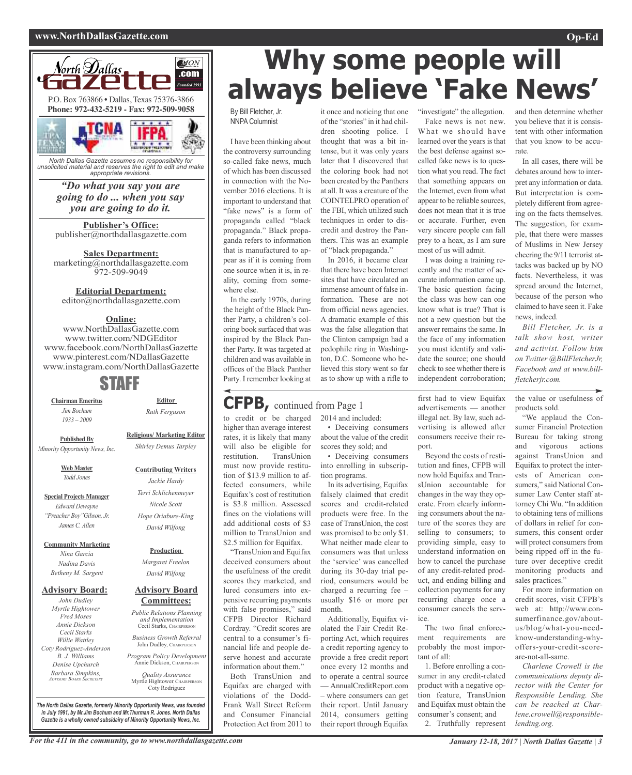#### **www.NorthDallasGazette.com Op-Ed**



*North Dallas Gazette assumes no responsibility for unsolicited material and reserves the right to edit and make appropriate revisions.*

### *"Do what you say you are going to do ... when you say you are going to do it.*

**Publisher's Office:** publisher@northdallasgazette.com

**Sales Department:** marketing@northdallasgazette.com 972-509-9049

#### **Editorial Department:**

editor@northdallasgazette.com

#### **Online:**

www.NorthDallasGazette.com www.twitter.com/NDGEditor www.facebook.com/NorthDallasGazette www.pinterest.com/NDallasGazette www.instagram.com/NorthDallasGazette

### STAFF

**Chairman Emeritus** *Jim Bochum 1933 – 2009*

**Editor** *Ruth Ferguson*

**Religious/ Marketing Editor** *Shirley Demus Tarpley*

> **Contributing Writers** *Jackie Hardy Terri Schlichenmeyer Nicole Scott Hope Oriabure-King David Wilfong*

**Published By** *Minority Opportunity News, Inc.*

> **Web Master** *Todd Jones*

**Special Projects Manager** *Edward Dewayne "Preacher Boy"Gibson, Jr. James C. Allen*

**Community Marketing**

*Nina Garcia Nadina Davis Betheny M. Sargent*

#### **Advisory Board:**

*John Dudley Myrtle Hightower Fred Moses Annie Dickson Cecil Starks Willie Wattley Coty Rodriguez-Anderson B. J. Williams Denise Upchurch Barbara Simpkins, ADVISORY BOARD SECRETARY*

### **Production**

*Margaret Freelon David Wilfong*

#### **Advisory Board Committees:**

*Public Relations Planning and Implementation* Cecil Starks, CHAIRPERSON

*Business Growth Referral* John Dudley, CHAIRPERSON

*Program Policy Development* Annie Dickson, Chairper

*Quality Assurance* Myrtle Hightower, CHAIRPERSON Coty Rodriguez

*The North Dallas Gazette, formerly Minority Opportunity News, was founded in July 1991, by Mr.Jim Bochum and Mr.Thurman R. Jones. North Dallas Gazette is a wholly owned subsidairy of Minority Opportunity News, Inc.*

# **Why some people will always believe 'Fake News'**

By Bill Fletcher, Jr. NNPA Columnist

I have been thinking about the controversy surrounding so-called fake news, much of which has been discussed in connection with the November 2016 elections. It is important to understand that "fake news" is a form of propaganda called "black propaganda." Black propaganda refers to information that is manufactured to appear as if it is coming from one source when it is, in reality, coming from somewhere else.

In the early 1970s, during the height of the Black Panther Party, a children's coloring book surfaced that was inspired by the Black Panther Party. It was targeted at children and was available in offices of the Black Panther Party. I remember looking at

### **CFPB,** continued from Page <sup>1</sup>

to credit or be charged higher than average interest rates, it is likely that many will also be eligible for restitution. TransUnion must now provide restitution of \$13.9 million to affected consumers, while Equifax's cost of restitution is \$3.8 million. Assessed fines on the violations will add additional costs of \$3 million to TransUnion and \$2.5 million for Equifax.

"TransUnion and Equifax deceived consumers about the usefulness of the credit scores they marketed, and lured consumers into expensive recurring payments with false promises," said CFPB Director Richard Cordray. "Credit scores are central to a consumer's financial life and people deserve honest and accurate information about them."

Both TransUnion and Equifax are charged with violations of the Dodd-Frank Wall Street Reform and Consumer Financial Protection Act from 2011 to

it once and noticing that one of the "stories" in it had children shooting police. I thought that was a bit intense, but it was only years later that I discovered that the coloring book had not been created by the Panthers at all. It was a creature of the COINTELPRO operation of the FBI, which utilized such techniques in order to discredit and destroy the Panthers. This was an example of "black propaganda."

In 2016, it became clear that there have been Internet sites that have circulated an immense amount of false information. These are not from official news agencies. A dramatic example of this was the false allegation that the Clinton campaign had a pedophile ring in Washington, D.C. Someone who believed this story went so far as to show up with a rifle to

2014 and included:

tion programs.

month.

• Deceiving consumers about the value of the credit scores they sold; and

• Deceiving consumers into enrolling in subscrip-

In its advertising, Equifax falsely claimed that credit scores and credit-related products were free. In the case of TransUnion, the cost was promised to be only \$1. What neither made clear to consumers was that unless the 'service' was cancelled during its 30-day trial period, consumers would be charged a recurring fee – usually \$16 or more per

Additionally, Equifax violated the Fair Credit Reporting Act, which requires a credit reporting agency to provide a free credit report once every 12 months and to operate a central source — AnnualCreditReport.com – where consumers can get their report. Until January 2014, consumers getting their report through Equifax

"investigate" the allegation.

Fake news is not new. What we should have learned over the years is that the best defense against socalled fake news is to question what you read. The fact that something appears on the Internet, even from what appear to be reliable sources, does not mean that it is true or accurate. Further, even very sincere people can fall prey to a hoax, as I am sure most of us will admit.

I was doing a training recently and the matter of accurate information came up. The basic question facing the class was how can one know what is true? That is not a new question but the answer remains the same. In the face of any information you must identify and validate the source; one should check to see whether there is independent corroboration;

first had to view Equifax advertisements — another illegal act. By law, such advertising is allowed after consumers receive their report.

Beyond the costs of restitution and fines, CFPB will now hold Equifax and TransUnion accountable for changes in the way they operate. From clearly informing consumers about the nature of the scores they are selling to consumers; to providing simple, easy to understand information on how to cancel the purchase of any credit-related product, and ending billing and collection payments for any recurring charge once a consumer cancels the service.

The two final enforcement requirements are probably the most important of all:

1. Before enrolling a consumer in any credit-related product with a negative option feature, TransUnion and Equifax must obtain the consumer's consent; and 2. Truthfully represent

and then determine whether you believe that it is consistent with other information that you know to be accurate.

In all cases, there will be debates around how to interpret any information or data. But interpretation is completely different from agreeing on the facts themselves. The suggestion, for example, that there were masses of Muslims in New Jersey cheering the 9/11 terrorist attacks was backed up by NO facts. Nevertheless, it was spread around the Internet, because of the person who claimed to have seen it. Fake news, indeed.

*Bill Fletcher, Jr. is a talk show host, writer and activist. Follow him on Twitter @BillFletcherJr, Facebook and at www.billfletcherjr.com.*

the value or usefulness of products sold.

"We applaud the Consumer Financial Protection Bureau for taking strong and vigorous actions against TransUnion and Equifax to protect the interests of American consumers," said National Consumer Law Center staff attorney Chi Wu. "In addition to obtaining tens of millions of dollars in relief for consumers, this consent order will protect consumers from being ripped off in the future over deceptive credit monitoring products and sales practices."

For more information on credit scores, visit CFPB's web at: http://www.consumerfinance.gov/aboutus/blog/what-you-needknow-understanding-whyoffers-your-credit-scoreare-not-all-same.

*Charlene Crowell is the communications deputy director with the Center for Responsible Lending. She can be reached at Charlene.crowell@responsiblelending.org.*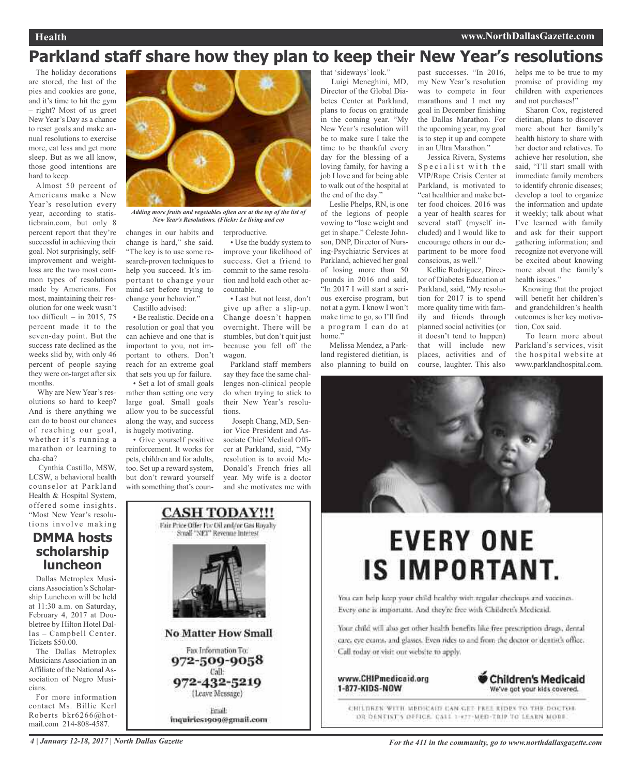### **Parkland staff share how they plan to keep their New Year's resolutions**

The holiday decorations are stored, the last of the pies and cookies are gone, and it's time to hit the gym – right? Most of us greet New Year's Day as a chance to reset goals and make annual resolutions to exercise more, eat less and get more sleep. But as we all know, those good intentions are hard to keep.

Almost 50 percent of Americans make a New Year's resolution every year, according to statisticbrain.com, but only 8 percent report that they're successful in achieving their goal. Not surprisingly, selfimprovement and weightloss are the two most common types of resolutions made by Americans. For most, maintaining their resolution for one week wasn't too difficult – in 2015, 75 percent made it to the seven-day point. But the success rate declined as the weeks slid by, with only 46 percent of people saying they were on-target after six months.

Why are New Year's resolutions so hard to keep? And is there anything we can do to boost our chances of reaching our goal, whether it's running a marathon or learning to cha-cha?

Cynthia Castillo, MSW, LCSW, a behavioral health counselor at Parkland Health & Hospital System, offered some insights. "Most New Year's resolutions involve making

### **DMMA hosts scholarship luncheon**

Dallas Metroplex Musicians Association's Scholarship Luncheon will be held at 11:30 a.m. on Saturday, February 4, 2017 at Doubletree by Hilton Hotel Dallas – Campbell Center. Tickets \$50.00.

The Dallas Metroplex Musicians Association in an Affiliate of the National Association of Negro Musicians.

For more information contact Ms. Billie Kerl Roberts bkr6266@hotmail.com 214-808-4587.



*Adding more fruits and vegetables often are at the top of the list of New Year's Resolutions. (Flickr: Le living and co)*

changes in our habits and change is hard," she said. "The key is to use some research-proven techniques to help you succeed. It's important to change your mind-set before trying to change your behavior."

Castillo advised: • Be realistic. Decide on a resolution or goal that you can achieve and one that is important to you, not important to others. Don't reach for an extreme goal that sets you up for failure.

• Set a lot of small goals rather than setting one very large goal. Small goals allow you to be successful along the way, and success is hugely motivating.

• Give yourself positive reinforcement. It works for pets, children and for adults, too. Set up a reward system, but don't reward yourself with something that's coun-

> **CASH TODAY!!!** Fair Price Offer For Oil and/or Gas Royalty Small "NET" Revenue Interest

**No Matter How Small** 

Fax Information To:

972-509-9058 Call:

972-432-5219

(Leave Message)

Eriail:

inquiries1909@gmail.com

terproductive.

• Use the buddy system to improve your likelihood of success. Get a friend to commit to the same resolution and hold each other accountable.

• Last but not least, don't give up after a slip-up. Change doesn't happen overnight. There will be stumbles, but don't quit just because you fell off the wagon.

Parkland staff members say they face the same challenges non-clinical people do when trying to stick to their New Year's resolutions.

Joseph Chang, MD, Senior Vice President and Associate Chief Medical Officer at Parkland, said, "My resolution is to avoid Mc-Donald's French fries all year. My wife is a doctor and she motivates me with that 'sideways' look." Luigi Meneghini, MD, Director of the Global Diabetes Center at Parkland, plans to focus on gratitude in the coming year. "My New Year's resolution will be to make sure I take the time to be thankful every day for the blessing of a loving family, for having a job I love and for being able to walk out of the hospital at the end of the day."

Leslie Phelps, RN, is one of the legions of people vowing to "lose weight and get in shape." Celeste Johnson, DNP, Director of Nursing-Psychiatric Services at Parkland, achieved her goal of losing more than 50 pounds in 2016 and said, "In 2017 I will start a serious exercise program, but not at a gym. I know I won't make time to go, so I'll find a program I can do at home'

Melissa Mendez, a Parkland registered dietitian, is also planning to build on past successes. "In 2016, my New Year's resolution was to compete in four marathons and I met my goal in December finishing the Dallas Marathon. For the upcoming year, my goal is to step it up and compete in an Ultra Marathon."

Jessica Rivera, Systems Specialist with the VIP/Rape Crisis Center at Parkland, is motivated to "eat healthier and make better food choices. 2016 was a year of health scares for several staff (myself included) and I would like to encourage others in our department to be more food conscious, as well."

Kellie Rodriguez, Director of Diabetes Education at Parkland, said, "My resolution for 2017 is to spend more quality time with family and friends through planned social activities (or it doesn't tend to happen) that will include new places, activities and of course, laughter. This also helps me to be true to my promise of providing my children with experiences and not purchases!"

Sharon Cox, registered dietitian, plans to discover more about her family's health history to share with her doctor and relatives. To achieve her resolution, she said, "I'll start small with immediate family members to identify chronic diseases; develop a tool to organize the information and update it weekly; talk about what I've learned with family and ask for their support gathering information; and recognize not everyone will be excited about knowing more about the family's health issues."

Knowing that the project will benefit her children's and grandchildren's health outcomes is her key motivation, Cox said.

To learn more about Parkland's services, visit the hospital website at www.parklandhospital.com.



# **EVERY ONE IS IMPORTANT.**

You can help keep your child healthy with regular checkups and vaccines. Every one is important. And they're free with Children's Medicaid.

Your child will also get other health benefits like free prescription drugs, dental care, eye exams, and glasses. Even rides to and from the doctor or dentist's office. Call today or visit our website to apply.

www.CHIPmedicaid.org 1-877-KIDS-NOW



CHILDREN WITH MEDICAIN CAN GET FREE RIDES TO THE DOCTOR DR DENTIST'S DEFICE. CALL 1-477-MED-TRIP TO LEARN MORE.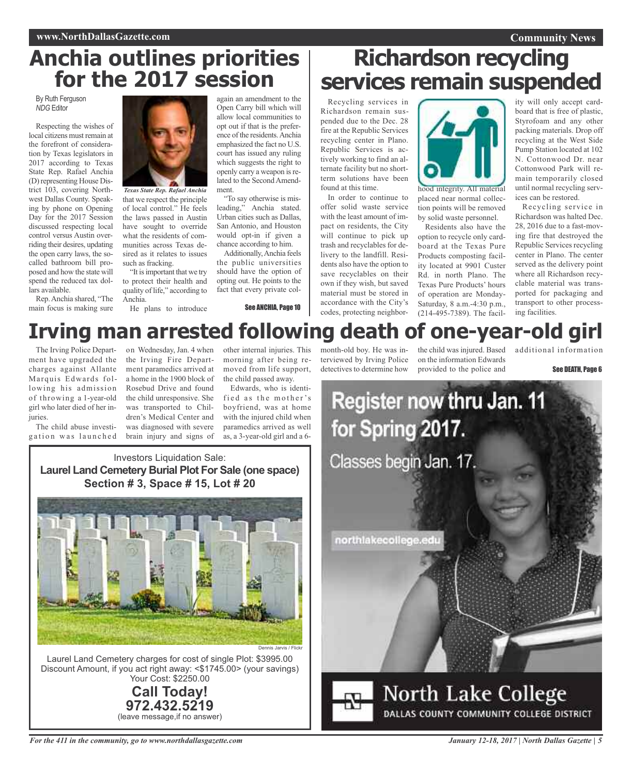## **Anchia outlines priorities for the 2017 session**

By Ruth Ferguson *NDG* Editor

Respecting the wishes of local citizens must remain at the forefront of consideration by Texas legislators in 2017 according to Texas State Rep. Rafael Anchia (D)representing House District 103, covering Northwest Dallas County. Speaking by phone on Opening Day for the 2017 Session discussed respecting local control versus Austin overriding their desires, updating the open carry laws, the socalled bathroom bill proposed and how the state will spend the reduced tax dollars available.

Rep.Anchia shared, "The main focus is making sure



that we respect the principle of local control." He feels the laws passed in Austin have sought to override what the residents of communities across Texas desired as it relates to issues such as fracking.

"It isimportant that we try to protect their health and quality of life," according to Anchia.

He plans to introduce

again an amendment to the Open Carry bill which will allow local communities to opt out if that is the preference of the residents. Anchia emphasized the fact no U.S. court has issued any ruling which suggests the right to openly carry a weapon isrelated to the Second Amendment.

"To say otherwise is misleading," Anchia stated. Urban cities such as Dallas, San Antonio, and Houston would opt-in if given a chance according to him.

Additionally,Anchia feels the public universities should have the option of opting out. He points to the fact that every private col-

See ANCHIA, Page 10

# **Richardson recycling services remain suspended**

Recycling services in Richardson remain suspended due to the Dec. 28 fire at the Republic Services recycling center in Plano. Republic Services is actively working to find an alternate facility but no shortterm solutions have been found at this time.

In order to continue to offer solid waste service with the least amount of impact on residents, the City will continue to pick up trash and recyclables for delivery to the landfill. Residents also have the option to save recyclables on their own if they wish, but saved material must be stored in accordance with the City's codes, protecting neighbor-



placed near normal collection points will be removed by solid waste personnel.

Residents also have the option to recycle only cardboard at the Texas Pure Products composting facility located at 9901 Custer Rd. in north Plano. The Texas Pure Products' hours of operation are Monday-Saturday, 8 a.m.-4:30 p.m., (214-495-7389). The facility will only accept cardboard that is free of plastic, Styrofoam and any other packing materials. Drop off recycling at the West Side Pump Station located at 102 N. Cottonwood Dr. near Cottonwood Park will remain temporarily closed until normal recycling services can be restored.

Recycling service in Richardson was halted Dec. 28, 2016 due to a fast-moving fire that destroyed the Republic Services recycling center in Plano. The center served as the delivery point where all Richardson recyclable material was transported for packaging and transport to other processing facilities.

# **Irving man arrested following death of one-year-old girl**

The Irving Police Department have upgraded the charges against Allante Marquis Edwards following his admission of throwing a 1-year-old girl who later died of her injuries.

The child abuse investigation was launched

on Wednesday, Jan. 4 when the Irving Fire Department paramedics arrived at a home in the 1900 block of Rosebud Drive and found the child unresponsive. She was transported to Children's Medical Center and was diagnosed with severe brain injury and signs of

other internal injuries. This morning after being removed from life support, the child passed away.

Edwards, who is identified as the mother's boyfriend, was at home with the injured child when paramedics arrived as well as, a 3-year-old girl and a 6month-old boy. He was interviewed by Irving Police detectives to determine how

the child was injured. Based on the information Edwards provided to the police and

additional information

See DEATH, Page 6



DALLAS COUNTY COMMUNITY COLLEGE DISTRICT

Investors Liquidation Sale: **Laurel Land Cemetery Burial Plot For Sale (one space) Section # 3, Space # 15, Lot # 20**



Laurel Land Cemetery charges for cost of single Plot: \$3995.00 Discount Amount, if you act right away: <\$1745.00> (your savings) Your Cost: \$2250.00

> **Call Today! 972.432.5219** (leave message,if no answer)

*For the 411 in the community, go to www.northdallasgazette.com*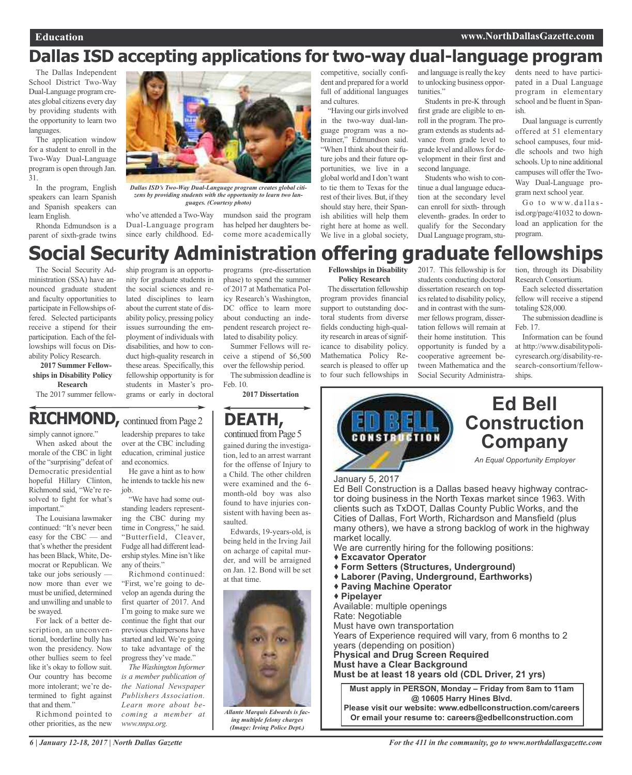### **Dallas ISD accepting applications for two-way dual-language program**

The Dallas Independent School District Two-Way Dual-Language program creates global citizens every day by providing students with the opportunity to learn two languages.

The application window for a student to enroll in the Two-Way Dual-Language program is open through Jan. 31.

In the program, English speakers can learn Spanish and Spanish speakers can learn English.

Rhonda Edmundson is a parent of sixth-grade twins



*Dallas ISD's Two-Way Dual-Language program creates global citizens by providing students with the opportunity to learn two languages. (Courtesy photo)*

who've attended a Two-Way Dual-Language program since early childhood. Edmundson said the program has helped her daughters become more academically competitive, socially confident and prepared for a world full of additional languages and cultures.

"Having our girls involved in the two-way dual-language program was a nobrainer," Edmundson said. "When I think about their future jobs and their future opportunities, we live in a global world and I don't want to tie them to Texas for the rest of their lives. But, if they should stay here, their Spanish abilities will help them right here at home as well. We live in a global society,

and language is really the key to unlocking business opportunities."

Students in pre-K through first grade are eligible to enroll in the program. The program extends as students advance from grade level to grade level and allowsfor development in their first and second language.

Students who wish to continue a dual language education at the secondary level can enroll for sixth- through eleventh- grades. In order to qualify for the Secondary Dual Language program, students need to have participated in a Dual Language program in elementary school and be fluent in Spanish.

Dual language is currently offered at 51 elementary school campuses, four middle schools and two high schools. Up to nine additional campuses will offer the Two-Way Dual-Language program next school year.

Go to www.dallasisd.org/page/41032 to download an application for the program.

## **Social Security Administration offering graduate fellowships**

The Social Security Administration (SSA) have announced graduate student and faculty opportunities to participate in Fellowships offered. Selected participants receive a stipend for their participation. Each of the fellowships will focus on Disability Policy Research.

#### **2017 Summer Fellowships in Disability Policy Research**

The 2017 summer fellow-

ship program is an opportunity for graduate students in the social sciences and related disciplines to learn about the current state of disability policy, pressing policy issues surrounding the employment of individuals with disabilities, and how to conduct high-quality research in these areas. Specifically, this fellowship opportunity is for students in Master's programs or early in doctoral

programs (pre-dissertation phase) to spend the summer of 2017 at Mathematica Policy Research's Washington, DC office to learn more about conducting an independent research project related to disability policy.

Summer Fellows will receive a stipend of \$6,500 over the fellowship period.

The submission deadline is Feb. 10.

**2017 Dissertation**

#### **DEATH, RICHMOND**, continued from Page 2

simply cannot ignore." leadership prepares to take continued from Page 5 gained during the investigation, led to an arrest warrant for the offense of Injury to a Child. The other children were examined and the 6 month-old boy was also found to have injuries consistent with having been assaulted.

> Edwards, 19-years-old, is being held in the Irving Jail on acharge of capital murder, and will be arraigned on Jan. 12. Bond will be set at that time.



*Allante Marquis Edwards is facing multiple felony charges (Image: Irving Police Dept.)*

**Fellowships in Disability Policy Research**

The dissertation fellowship program provides financial support to outstanding doctoral students from diverse fields conducting high-quality research in areas of significance to disability policy. Mathematica Policy Research is pleased to offer up to four such fellowships in 2017. This fellowship is for students conducting doctoral dissertation research on topics related to disability policy, and in contrast with the summer fellows program, dissertation fellows will remain at their home institution. This opportunity is funded by a cooperative agreement between Mathematica and the Social Security Administra-

tion, through its Disability Research Consortium.

Each selected dissertation fellow will receive a stipend totaling \$28,000.

The submission deadline is Feb. 17.

Information can be found at http://www.disabilitypolicyresearch.org/disability-research-consortium/fellowships.



many others), we have a strong backlog of work in the highway market locally.

- We are currently hiring for the following positions:
- **Excavator Operator**
- **Form Setters (Structures, Underground)**
- **Laborer (Paving, Underground, Earthworks)**
- **Paving Machine Operator**
- **Pipelayer**

Available: multiple openings Rate: Negotiable Must have own transportation Years of Experience required will vary, from 6 months to 2

years (depending on position) **Physical and Drug Screen Required Must have a Clear Background**

**Must be at least 18 years old (CDL Driver, 21 yrs)**

**Must apply in PERSON, Monday – Friday from 8am to 11am @ 10605 Harry Hines Blvd. Please visit our website: www.edbellconstruction.com/careers**

**Or email your resume to: careers@edbellconstruction.com**

When asked about the morale of the CBC in light

of the "surprising" defeat of Democratic presidential hopeful Hillary Clinton, Richmond said, "We're resolved to fight for what's important."

The Louisiana lawmaker continued: "It's never been easy for the CBC — and that's whether the president has been Black, White, Democrat or Republican. We take our jobs seriously now more than ever we must be unified, determined and unwilling and unable to be swayed.

For lack of a better description, an unconventional, borderline bully has won the presidency. Now other bullies seem to feel like it's okay to follow suit. Our country has become more intolerant; we're determined to fight against that and them."

Richmond pointed to other priorities, as the new

over at the CBC including education, criminal justice and economics. He gave a hint as to how

he intends to tackle his new job.

"We have had some outstanding leaders representing the CBC during my time in Congress," he said. "Butterfield, Cleaver, Fudge all had different leadership styles. Mine isn't like any of theirs."

Richmond continued: "First, we're going to develop an agenda during the first quarter of 2017. And I'm going to make sure we continue the fight that our previous chairpersons have started and led.We're going to take advantage of the progress they've made."

*The Washington Informer is a member publication of the National Newspaper Publishers Association. Learn more about becoming a member at www.nnpa.org.*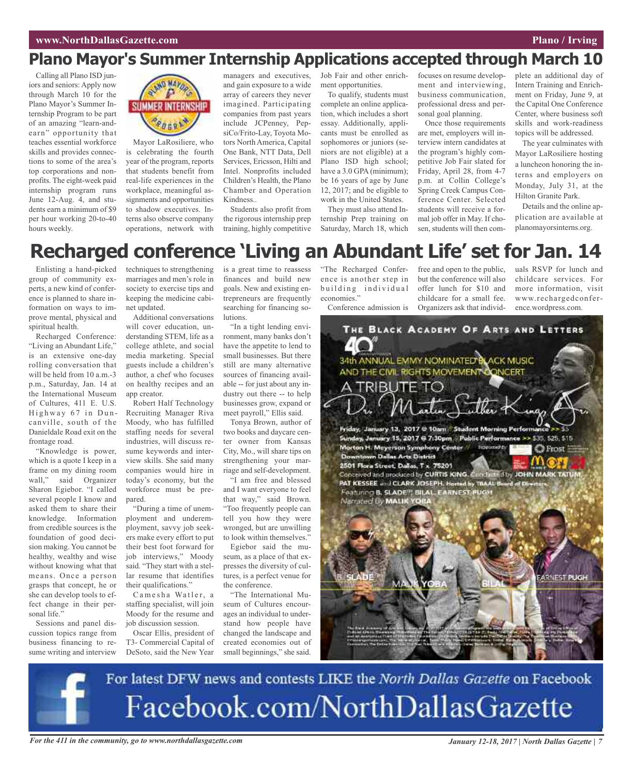### **Plano Mayor's Summer Internship Applications accepted through March 10**

Calling all Plano ISD juniors and seniors: Apply now through March 10 for the Plano Mayor's Summer Internship Program to be part of an amazing "learn-andearn" opportunity that teaches essential workforce skills and provides connections to some of the area's top corporations and nonprofits. The eight-week paid internship program runs June 12-Aug. 4, and students earn a minimum of \$9 per hour working 20-to-40 hours weekly.



Mayor LaRosiliere, who is celebrating the fourth year of the program, reports that students benefit from real-life experiences in the workplace, meaningful assignments and opportunities to shadow executives. Interns also observe company operations, network with managers and executives, and gain exposure to a wide array of careers they never imagined. Participating companies from past years include JCPenney, PepsiCo/Frito-Lay, Toyota Motors North America, Capital One Bank, NTT Data, Dell Services, Ericsson, Hilti and Intel. Nonprofits included Children's Health, the Plano Chamber and Operation Kindness..

Students also profit from the rigorous internship prep training, highly competitive Job Fair and other enrichment opportunities.

To qualify, students must complete an online application, which includes a short essay. Additionally, applicants must be enrolled as sophomores or juniors (seniors are not eligible) at a Plano ISD high school; have a 3.0 GPA (minimum); be 16 years of age by June 12, 2017; and be eligible to work in the United States. They must also attend In-

ternship Prep training on Saturday, March 18, which focuses on resume development and interviewing, business communication, professional dress and personal goal planning.

Once those requirements are met, employers will interview intern candidates at the program's highly competitive Job Fair slated for Friday, April 28, from 4-7 p.m. at Collin College's Spring Creek Campus Conference Center. Selected students will receive a formal job offer in May. If chosen, students will then complete an additional day of Intern Training and Enrichment on Friday, June 9, at the Capital One Conference Center, where business soft skills and work-readiness topics will be addressed.

The year culminates with Mayor LaRosiliere hosting a luncheon honoring the interns and employers on Monday, July 31, at the Hilton Granite Park.

Details and the online application are available at planomayorsinterns.org.

## **Recharged conference 'Living an Abundant Life' set for Jan. 14**

Enlisting a hand-picked group of community experts, a new kind of conference is planned to share information on ways to improve mental, physical and spiritual health.

Recharged Conference: "Living an Abundant Life," is an extensive one-day rolling conversation that will be held from 10 a.m.-3 p.m., Saturday, Jan. 14 at the International Museum of Cultures, 411 E. U.S. Highway 67 in Duncanville, south of the Danieldale Road exit on the frontage road.

"Knowledge is power, which is a quote I keep in a frame on my dining room<br>wall," said Organizer said Organizer Sharon Egiebor. "I called several people I know and asked them to share their knowledge. Information from credible sources is the foundation of good decision making. You cannot be healthy, wealthy and wise without knowing what that means. Once a person grasps that concept, he or she can develop tools to effect change in their personal life."

Sessions and panel discussion topics range from business financing to resume writing and interview techniques to strengthening marriages and men's role in society to exercise tips and keeping the medicine cabinet updated.

Additional conversations will cover education, understanding STEM, life as a college athlete, and social media marketing. Special guests include a children's author, a chef who focuses on healthy recipes and an app creator.

Robert Half Technology Recruiting Manager Riva Moody, who has fulfilled staffing needs for several industries, will discuss resume keywords and interview skills. She said many companies would hire in today's economy, but the workforce must be prepared.

"During a time of unemployment and underemployment, savvy job seekers make every effort to put their best foot forward for job interviews," Moody said. "They start with a stellar resume that identifies their qualifications."

Camesha Watler, a staffing specialist, will join Moody for the resume and job discussion session.

Oscar Ellis, president of T3- Commercial Capital of DeSoto, said the New Year

is a great time to reassess finances and build new goals. New and existing entrepreneurs are frequently searching for financing solutions.

"In a tight lending environment, many banks don't have the appetite to lend to small businesses. But there still are many alternative sources of financing available -- for just about any industry out there -- to help businesses grow, expand or meet payroll," Ellis said.

Tonya Brown, author of two books and daycare center owner from Kansas City, Mo., will share tips on strengthening your marriage and self-development.

"I am free and blessed and I want everyone to feel that way," said Brown. "Too frequently people can tell you how they were wronged, but are unwilling to look within themselves."

Egiebor said the museum, as a place of that expresses the diversity of cultures, is a perfect venue for the conference.

"The International Museum of Cultures encourages an individual to understand how people have changed the landscape and created economies out of small beginnings," she said.

"The Recharged Conference is another step in building individual economies."

Conference admission is

free and open to the public, but the conference will also offer lunch for \$10 and childcare for a small fee. Organizers ask that individuals RSVP for lunch and childcare services. For more information, visit www.rechargedconference.wordpress.com.



For latest DFW news and contests LIKE the North Dallas Gazette on Facebook Facebook.com/NorthDallasGazette

For the 411 in the community, go to www.northdallasgazette.com San Manual State 17 January 12-18, 2017 | North Dallas Gazette | 7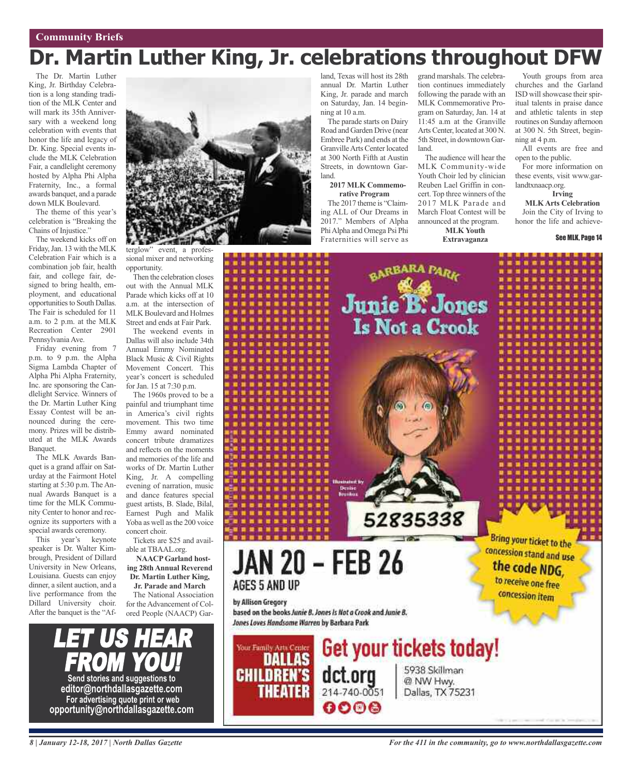# **Dr. Martin Luther King, Jr. celebrations throughout DFW**

The Dr. Martin Luther King, Jr. Birthday Celebration is a long standing tradition of the MLK Center and will mark its 35th Anniversary with a weekend long celebration with events that honor the life and legacy of Dr. King. Special events include the MLK Celebration Fair, a candlelight ceremony hosted by Alpha Phi Alpha Fraternity, Inc., a formal awards banquet, and a parade down MLK Boulevard.

The theme of this year's celebration is "Breaking the Chains of Injustice."

The weekend kicks off on Friday,Jan. 13 with the MLK Celebration Fair which is a combination job fair, health fair, and college fair, designed to bring health, employment, and educational opportunities to South Dallas. The Fair is scheduled for 11 a.m. to 2 p.m. at the MLK Recreation Center 2901 Pennsylvania Ave.

Friday evening from 7 p.m. to 9 p.m. the Alpha Sigma Lambda Chapter of Alpha Phi Alpha Fraternity, Inc. are sponsoring the Candlelight Service. Winners of the Dr. Martin Luther King Essay Contest will be announced during the ceremony. Prizes will be distributed at the MLK Awards Banquet.

The MLK Awards Banquet is a grand affair on Saturday at the Fairmont Hotel starting at 5:30 p.m. The Annual Awards Banquet is a time for the MLK Community Center to honor and recognize its supporters with a special awards ceremony.

This year's keynote speaker is Dr. Walter Kimbrough, President of Dillard University in New Orleans, Louisiana. Guests can enjoy dinner, a silent auction, and a live performance from the Dillard University choir. After the banquet is the "Af-



terglow" event, a professional mixer and networking opportunity.

Then the celebration closes out with the Annual MLK Parade which kicks off at 10 a.m. at the intersection of MLK Boulevard and Holmes Street and ends at Fair Park.

The weekend events in Dallas will also include 34th Annual Emmy Nominated Black Music & Civil Rights Movement Concert. This year's concert is scheduled for Jan. 15 at 7:30 p.m.

The 1960s proved to be a painful and triumphant time in America's civil rights movement. This two time Emmy award nominated concert tribute dramatizes and reflects on the moments and memories of the life and works of Dr. Martin Luther King, Jr. A compelling evening of narration, music and dance features special guest artists, B. Slade, Bilal, Earnest Pugh and Malik Yoba as well as the 200 voice concert choir.

Tickets are \$25 and available at TBAAL.org.

**NAACPGarland hosting 28th Annual Reverend Dr. Martin Luther King,**

#### **Jr. Parade and March** The National Association

for the Advancement of Colored People (NAACP) Gar-

land, Texas will host its 28th annual Dr. Martin Luther King, Jr. parade and march on Saturday, Jan. 14 beginning at 10 a.m.

The parade starts on Dairy Road and Garden Drive (near Embree Park) and ends at the GranvilleArts Center located at 300 North Fifth at Austin Streets, in downtown Garland.

**2017 MLK Commemorative Program**

The 2017 theme is "Claiming ALL of Our Dreams in 2017." Members of Alpha PhiAlpha and Omega Psi Phi Fraternities will serve as

grand marshals. The celebration continues immediately following the parade with an MLK Commemorative Program on Saturday, Jan. 14 at 11:45 a.m at the Granville Arts Center, located at 300 N. 5th Street, in downtown Garland.

The audience will hear the MLK Community-wide Youth Choir led by clinician Reuben Lael Griffin in concert. Top three winners of the 2017 MLK Parade and March Float Contest will be announced at the program.

**MLK Youth Extravaganza**

Youth groups from area churches and the Garland ISD will showcase their spiritual talents in praise dance and athletic talents in step routines on Sunday afternoon at 300 N. 5th Street, beginning at 4 p.m.

All events are free and open to the public.

For more information on these events, visit www.garlandtxnaacp.org.

#### **Irving**

**MLKArts Celebration** Join the City of Irving to honor the life and achieve-

See MLK, Page 14



*8 | January 12-18, 2017 | North Dallas Gazette*

LET US HEAR

FROM YOU!

**Send stories and suggestions to editor@northdallasgazette.com For advertising quote print or web opportunity@northdallasgazette.com**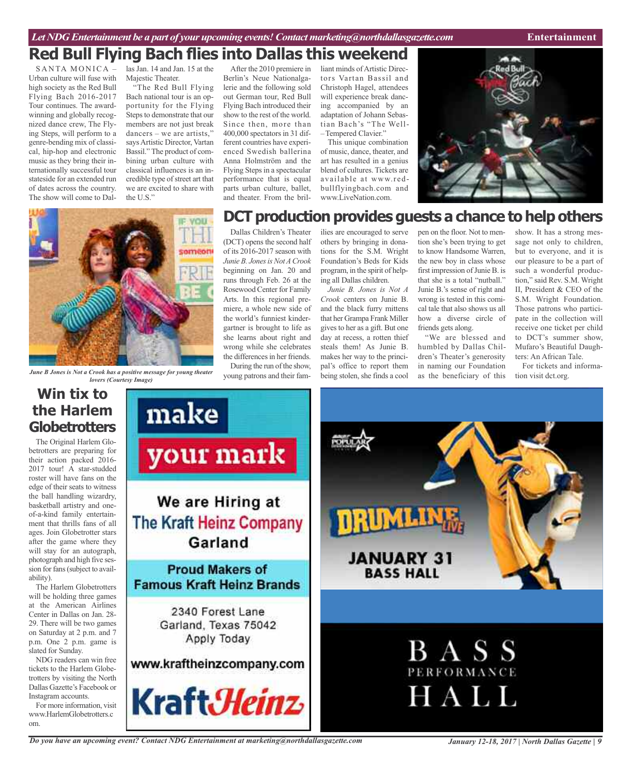### **Red Bull Flying Bach flies into Dallas this weekend**

SANTA MONICA -Urban culture will fuse with high society as the Red Bull Flying Bach 2016-2017 Tour continues. The awardwinning and globally recognized dance crew, The Flying Steps, will perform to a genre-bending mix of classical, hip-hop and electronic music as they bring their internationally successful tour stateside for an extended run of dates across the country. The show will come to Dallas Jan. 14 and Jan. 15 at the Majestic Theater.

"The Red Bull Flying Bach national tour is an opportunity for the Flying Steps to demonstrate that our members are not just break dancers – we are artists," saysArtistic Director, Vartan Bassil." The product of combining urban culture with classical influences is an incredible type of street art that we are excited to share with the U.S."

After the 2010 premiere in Berlin's Neue Nationalgalerie and the following sold out German tour, Red Bull Flying Bach introduced their show to the rest of the world. Since then, more than 400,000 spectators in 31 different countries have experienced Swedish ballerina Anna Holmström and the Flying Steps in a spectacular performance that is equal parts urban culture, ballet, and theater. From the bril-

gartner is brought to life as she learns about right and wrong while she celebrates the differences in her friends. During the run of the show,

liant minds of Artistic Directors Vartan Bassil and Christoph Hagel, attendees will experience break dancing accompanied by an adaptation of Johann Sebastian Bach's "The Well- –Tempered Clavier."

This unique combination of music, dance, theater, and art has resulted in a genius blend of cultures. Tickets are available at www.redbullflyingbach.com and www.LiveNation.com.





om.

*June B Jones is Not a Crook has a positive message for young theater* young patrons and their fam-<br>young patrons and their fam-<br>being stolen, she finds a cool as the beneficiary of this tion visit dct.org. young patrons and their fam*lovers (Courtesy Image)***Win tix to** make **the Harlem Globetrotters** The Original Harlem Gloyour mark betrotters are preparing for their action packed 2016- 2017 tour! A star-studded roster will have fans on the edge of their seats to witness the ball handling wizardry, We are Hiring at basketball artistry and oneof-a-kind family entertain-TRUML **The Kraft Heinz Company** ment that thrills fans of all ages. Join Globetrotter stars Garland after the game where they will stay for an autograph, **JANUARY 31** photograph and high five ses-**Proud Makers of** sion for fans (subject to avail-**BASS HALL** ability). **Famous Kraft Heinz Brands** The Harlem Globetrotters will be holding three games at the American Airlines 2340 Forest Lane Center in Dallas on Jan. 28- 29. There will be two games Garland, Texas 75042 on Saturday at 2 p.m. and 7 Apply Today p.m. One 2 p.m. game is **BASS** slated for Sunday. NDG readers can win free www.kraftheinzcompany.com tickets to the Harlem Globe-PERFORMANCE trotters by visiting the North Dallas Gazette's Facebook or HALL Kraft*3Heinz* Instagram accounts. For more information, visit www.HarlemGlobetrotters.c

*Do you have an upcoming event? Contact NDG Entertainment at marketing@northdallasgazette.com*

*January 12-18, 2017 | North Dallas Gazette | 9*

### **DCT** production provides guests a chance to help others

Dallas Children's Theater (DCT) opens the second half of its 2016-2017 season with *Junie B. JonesisNotACrook* beginning on Jan. 20 and runs through Feb. 26 at the Rosewood Center for Family Arts. In this regional premiere, a whole new side of the world's funniest kinderilies are encouraged to serve others by bringing in donations for the S.M. Wright Foundation's Beds for Kids program, in the spirit of helping all Dallas children. *Junie B. Jones is Not A Crook* centers on Junie B. and the black furry mittens

that her Grampa Frank Miller gives to her as a gift. But one day at recess, a rotten thief steals them! As Junie B. makes her way to the principal's office to report them being stolen, she finds a cool

pen on the floor. Not to mention she's been trying to get to know Handsome Warren, the new boy in class whose first impression of Junie B. is that she is a total "nutball." Junie B.'s sense of right and wrong is tested in this comical tale that also shows us all how a diverse circle of friends gets along.

"We are blessed and humbled by Dallas Children's Theater's generosity in naming our Foundation as the beneficiary of this

show. It has a strong message not only to children, but to everyone, and it is our pleasure to be a part of such a wonderful production," said Rev. S.M. Wright II, President & CEO of the S.M. Wright Foundation. Those patrons who participate in the collection will receive one ticket per child to DCT's summer show, Mufaro's Beautiful Daughters: An African Tale.

For tickets and informa-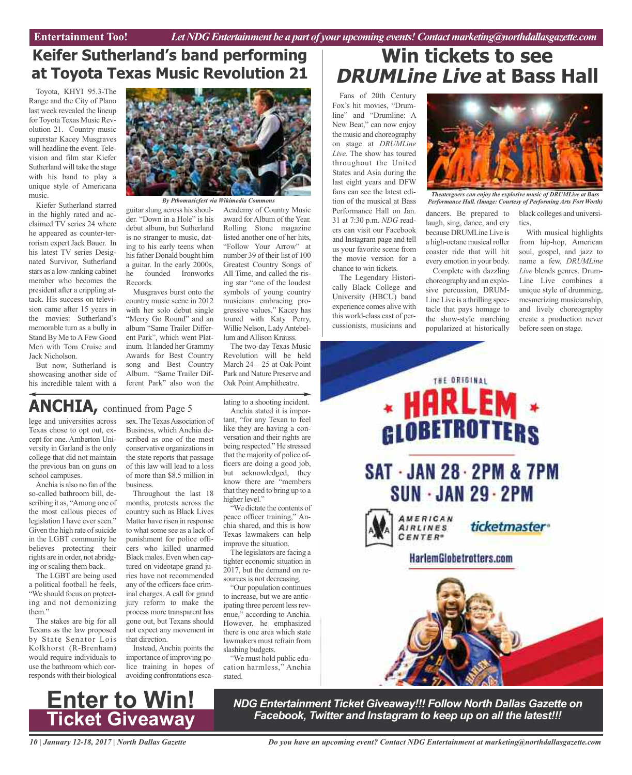### **Keifer Sutherland's band performing at Toyota Texas Music Revolution 21**

Toyota, KHYI 95.3-The Range and the City of Plano last week revealed the lineup for Toyota Texas Music Revolution 21. Country music superstar Kacey Musgraves will headline the event. Television and film star Kiefer Sutherland will take the stage with his band to play a unique style of Americana music.

Kiefer Sutherland starred in the highly rated and acclaimed TV series 24 where he appeared as counter-terrorism expert Jack Bauer. In his latest TV series Designated Survivor, Sutherland stars as a low-ranking cabinet member who becomes the president after a crippling attack. His success on television came after 15 years in the movies: Sutherland's memorable turn as a bully in Stand By Me to A Few Good Men with Tom Cruise and Jack Nicholson.

But now, Sutherland is showcasing another side of his incredible talent with a



*By Ptbomusicfest via Wikimedia Commons*

guitar slung across his shoulder. "Down in a Hole" is his debut album, but Sutherland is no stranger to music, dating to his early teens when hisfather Donald bought him a guitar. In the early 2000s, he founded Ironworks Records.

Musgraves burst onto the country music scene in 2012 with her solo debut single "Merry Go Round" and an album "Same Trailer Different Park", which went Platinum. It landed her Grammy Awards for Best Country song and Best Country Album. "Same Trailer Different Park" also won the

Academy of Country Music award for Album of the Year. Rolling Stone magazine listed another one of her hits, "Follow Your Arrow" at number 39 of their list of 100 Greatest Country Songs of All Time, and called the rising star "one of the loudest symbols of young country musicians embracing progressive values." Kacey has toured with Katy Perry, Willie Nelson, LadyAntebellum and Allison Krauss.

The two-day Texas Music Revolution will be held March 24 – 25 at Oak Point Park and Nature Preserve and Oak Point Amphitheatre.

### **ANCHIA,** continued from Page <sup>5</sup>

lege and universities across Texas chose to opt out, except for one. Amberton University in Garland is the only college that did not maintain the previous ban on guns on school campuses.

Anchia is also no fan of the so-called bathroom bill, describing it as, "Among one of the most callous pieces of legislation I have ever seen." Given the high rate of suicide in the LGBT community he believes protecting their rights are in order, not abridging or scaling them back.

The LGBT are being used a political football he feels, "We should focus on protecting and not demonizing them."

The stakes are big for all Texans as the law proposed by State Senator Lois Kolkhorst (R-Brenham) would require individuals to use the bathroom which corresponds with their biological sex. The Texas Association of Business, which Anchia described as one of the most conservative organizations in the state reports that passage of this law will lead to a loss of more than \$8.5 million in business.

Throughout the last 18 months, protests across the country such as Black Lives Matter have risen in response to what some see as a lack of punishment for police officers who killed unarmed Black males. Even when captured on videotape grand juries have not recommended any of the officers face criminal charges. A call for grand jury reform to make the process more transparent has gone out, but Texans should not expect any movement in that direction.

Instead, Anchia points the importance of improving police training in hopes of avoiding confrontations escalating to a shooting incident.

Anchia stated it is important, "for any Texan to feel like they are having a conversation and their rights are being respected." He stressed that the majority of police officers are doing a good job, but acknowledged, they know there are "members that they need to bring up to a higher level."

"We dictate the contents of peace officer training," Anchia shared, and this is how Texas lawmakers can help improve the situation.

The legislators are facing a tighter economic situation in 2017, but the demand on resources is not decreasing.

"Our population continues to increase, but we are anticipating three percent less revenue," according to Anchia. However, he emphasized there is one area which state lawmakers must refrain from slashing budgets.

"We must hold public education harmless," Anchia stated.

### **Win tickets to see DRUMLine Live at Bass Hall**

Fans of 20th Century Fox's hit movies, "Drumline" and "Drumline: A New Beat," can now enjoy the music and choreography on stage at *DRUMLine Live*. The show has toured throughout the United States and Asia during the last eight years and DFW fans can see the latest edition of the musical at Bass Performance Hall on Jan. 31 at 7:30 p.m. *NDG* readers can visit our Facebook and Instagram page and tell us your favorite scene from the movie version for a chance to win tickets.

The Legendary Historically Black College and University (HBCU) band experience comes alive with this world-class cast of percussionists, musicians and



*Theatergoers can enjoy the explosive music of DRUMLive at Bass Performance Hall. (Image: Courtesy of Performing Arts Fort Worth)*

ties.

dancers. Be prepared to laugh, sing, dance, and cry because DRUMLine Live is a high-octane musical roller coaster ride that will hit every emotion in your body.

Complete with dazzling choreography and an explosive percussion, DRUM-Line Live is a thrilling spectacle that pays homage to the show-style marching popularized at historically

With musical highlights from hip-hop, American soul, gospel, and jazz to name a few, *DRUMLine Live* blends genres. Drum-Line Live combines a unique style of drumming, mesmerizing musicianship, and lively choreography create a production never before seen on stage.

black colleges and universi-





*NDG Entertainment Ticket Giveaway!!! Follow North Dallas Gazette on Facebook, Twitter and Instagram to keep up on all the latest!!!*

*10 | January 12-18, 2017 | North Dallas Gazette*

*Do you have an upcoming event? Contact NDG Entertainment at marketing@northdallasgazette.com*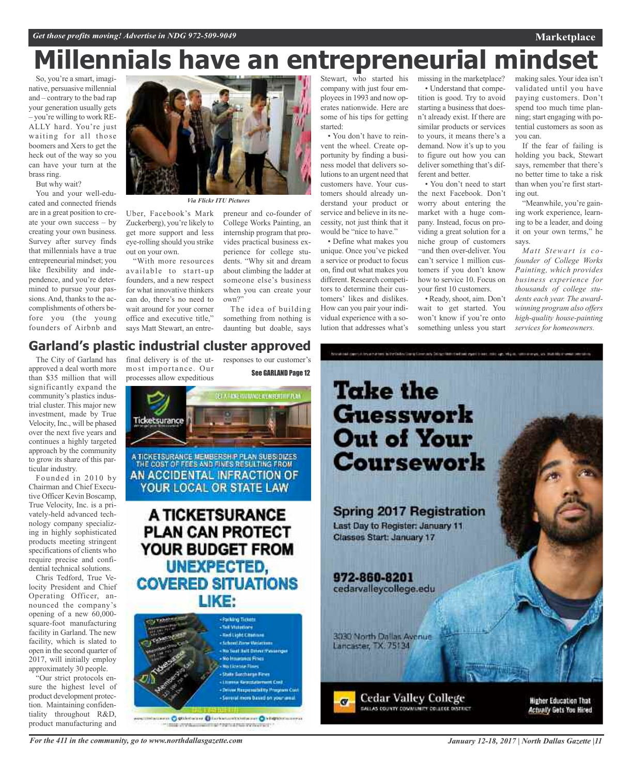# **Millennials have an entrepreneurial mindset**

So, you're a smart, imaginative, persuasive millennial and – contrary to the bad rap your generation usually gets – you're willing to work RE-ALLY hard. You're just waiting for all those boomers and Xers to get the heck out of the way so you can have your turn at the brass ring.

But why wait?

You and your well-educated and connected friends are in a great position to create your own success – by creating your own business. Survey after survey finds that millennials have a true entrepreneurial mindset; you like flexibility and independence, and you're determined to pursue your passions. And, thanks to the accomplishments of others be-

fore you (the young founders of Airbnb and



*Via Flickr ITU Pictures*

Uber, Facebook's Mark Zuckerberg), you're likely to get more support and less eye-rolling should you strike out on your own.

"With more resources available to start-up founders, and a new respect for what innovative thinkers can do, there's no need to wait around for your corner office and executive title," says Matt Stewart, an entrepreneur and co-founder of College Works Painting, an internship program that provides practical business experience for college students. "Why sit and dream about climbing the ladder at someone else's business when you can create your own?"

The idea of building something from nothing is daunting but doable, says

Stewart, who started his company with just four employeesin 1993 and now operates nationwide. Here are some of his tips for getting started:

• You don't have to reinvent the wheel. Create opportunity by finding a business model that delivers solutions to an urgent need that customers have. Your customers should already understand your product or service and believe in its necessity, not just think that it would be "nice to have."

• Define what makes you unique. Once you've picked a service or product to focus on, find out what makes you different. Research competitors to determine their customers' likes and dislikes. How can you pair your individual experience with a solution that addresses what's

missing in the marketplace? • Understand that competition is good. Try to avoid starting a business that doesn't already exist. If there are similar products or services to yours, it means there's a demand. Now it's up to you to figure out how you can deliver something that's different and better.

• You don't need to start the next Facebook. Don't worry about entering the market with a huge company. Instead, focus on providing a great solution for a niche group of customers ¬and then over-deliver. You can't service 1 million customers if you don't know how to service 10. Focus on your first 10 customers.

• Ready,shoot, aim. Don't wait to get started. You won't know if you're onto something unless you start

making sales. Your idea isn't validated until you have paying customers. Don't spend too much time planning; start engaging with potential customers as soon as you can.

**Marketplace**

If the fear of failing is holding you back, Stewart says, remember that there's no better time to take a risk than when you're first starting out.

"Meanwhile, you're gaining work experience, learning to be a leader, and doing it on your own terms," he says.

*Matt Stewart is cofounder of College Works Painting, which provides business experience for thousands of college students each year. The awardwinning program also offers high-quality house-painting services for homeowners.*

### final delivery is of the ut-**Garland's plastic industrial cluster approved**

most importance. Our

The City of Garland has approved a deal worth more than \$35 million that will significantly expand the community's plastics industrial cluster. This major new investment, made by True Velocity, Inc., will be phased over the next five years and continues a highly targeted approach by the community to grow its share of this particular industry.

Founded in 2010 by Chairman and Chief Executive Officer Kevin Boscamp, True Velocity, Inc. is a privately-held advanced technology company specializing in highly sophisticated products meeting stringent specifications of clients who require precise and confidential technical solutions.

Chris Tedford, True Velocity President and Chief Operating Officer, announced the company's opening of a new 60,000 square-foot manufacturing facility in Garland. The new facility, which is slated to open in the second quarter of 2017, will initially employ approximately 30 people.

"Our strict protocols ensure the highest level of product development protection. Maintaining confidentiality throughout R&D, product manufacturing and





*For the 411 in the community, go to www.northdallasgazette.com*

*January 12-18, 2017 | North Dallas Gazette |11*

**Actually Gets You Hired**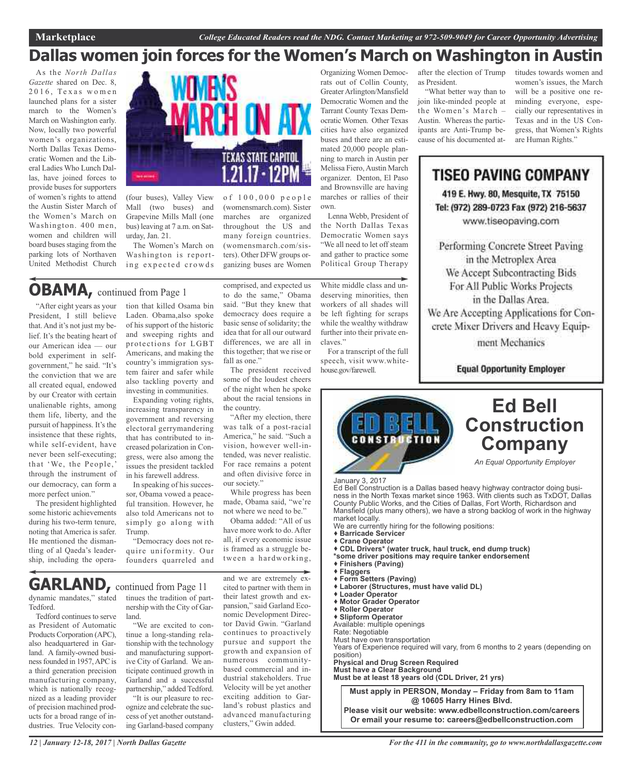### **Dallas women join forces for the Women's March on Washington in Austin**

As the *North Dallas Gazette* shared on Dec. 8,  $2016$ , Texas women launched plans for a sister march to the Women's March on Washington early. Now, locally two powerful women's organizations, North Dallas Texas Democratic Women and the Liberal Ladies Who Lunch Dallas, have joined forces to provide buses for supporters of women's rights to attend the Austin Sister March of the Women's March on Washington. 400 men, women and children will board buses staging from the parking lots of Northaven United Methodist Church



(four buses), Valley View Mall (two buses) and Grapevine Mills Mall (one bus) leaving at 7 a.m. on Saturday, Jan. 21.

The Women's March on Washington is reporting expected crowds

### **OBAMA,** continued from Page <sup>1</sup>

"After eight years as your President, I still believe that. And it's not just my belief. It's the beating heart of our American idea — our bold experiment in selfgovernment," he said. "It's the conviction that we are all created equal, endowed by our Creator with certain unalienable rights, among them life, liberty, and the pursuit of happiness. It's the insistence that these rights, while self-evident, have never been self-executing; that 'We, the People,' through the instrument of our democracy, can form a more perfect union."

The president highlighted some historic achievements during his two-term tenure, noting that America is safer. He mentioned the dismantling of al Qaeda's leadership, including the operation that killed Osama bin Laden. Obama,also spoke of his support of the historic and sweeping rights and protections for LGBT Americans, and making the country's immigration system fairer and safer while also tackling poverty and investing in communities.

Expanding voting rights, increasing transparency in government and reversing electoral gerrymandering that has contributed to increased polarization in Congress, were also among the issues the president tackled in his farewell address.

In speaking of his successor, Obama vowed a peaceful transition. However, he also told Americans not to simply go along with Trump.

"Democracy does not require uniformity. Our founders quarreled and comprised, and expected us to do the same," Obama said. "But they knew that democracy does require a basic sense of solidarity; the idea that for all our outward differences, we are all in this together; that we rise or fall as one."

(womensmarch.com). Sister marches are organized throughout the US and many foreign countries. (womensmarch.com/sisters). Other DFW groups organizing buses are Women

The president received some of the loudest cheers of the night when he spoke about the racial tensions in the country.

"After my election, there was talk of a post-racial America," he said. "Such a vision, however well-intended, was never realistic. For race remains a potent and often divisive force in our society."

While progress has been made, Obama said, "we're not where we need to be."

Obama added: "All of us have more work to do. After all, if every economic issue is framed as a struggle between a hardworking,

dynamic mandates," stated tinues the tradition of part-**GARLAND,** continued from Page <sup>11</sup>

Tedford. Tedford continues to serve as President of Automatic Products Corporation (APC), also headquartered in Garland. A family-owned businessfounded in 1957,APC is a third generation precision manufacturing company, which is nationally recognized as a leading provider of precision machined products for a broad range of industries. True Velocity connership with the City of Garland.

"We are excited to continue a long-standing relationship with the technology and manufacturing supportive City of Garland. We anticipate continued growth in Garland and a successful partnership," added Tedford.

"It is our pleasure to recognize and celebrate the success of yet another outstanding Garland-based company

and we are extremely excited to partner with them in their latest growth and expansion," said Garland Economic Development Director David Gwin. "Garland continues to proactively pursue and support the growth and expansion of numerous communitybased commercial and industrial stakeholders. True Velocity will be yet another exciting addition to Garland's robust plastics and advanced manufacturing clusters," Gwin added.

Organizing Women Democrats out of Collin County, GreaterArlington/Mansfield Democratic Women and the Tarrant County Texas Democratic Women. Other Texas cities have also organized buses and there are an estimated 20,000 people planning to march in Austin per Melissa Fiero, Austin March organizer. Denton, El Paso and Brownsville are having marches or rallies of their own.

Lenna Webb, President of the North Dallas Texas Democratic Women says "We all need to let off steam and gather to practice some Political Group Therapy

White middle class and undeserving minorities, then workers of all shades will be left fighting for scraps while the wealthy withdraw further into their private enclaves."

For a transcript of the full

speech, visit www.whitehouse.gov/farewell.

after the election of Trump as President.

"What better way than to join like-minded people at the Women's March – Austin. Whereas the participants are Anti-Trump because of his documented attitudes towards women and women's issues, the March will be a positive one reminding everyone, especially our representatives in Texas and in the US Congress, that Women's Rights are Human Rights."

TISEO PAVING COMPANY 419 E. Hwy. 80, Mesquite, TX 75150 Tel: (972) 289-0723 Fax (972) 216-5637 www.tiseopaving.com

Performing Concrete Street Paving in the Metroplex Area We Accept Subcontracting Bids For All Public Works Projects in the Dallas Area. We Are Accepting Applications for Concrete Mixer Drivers and Heavy Equipment Mechanics

**Equal Opportunity Employer** 

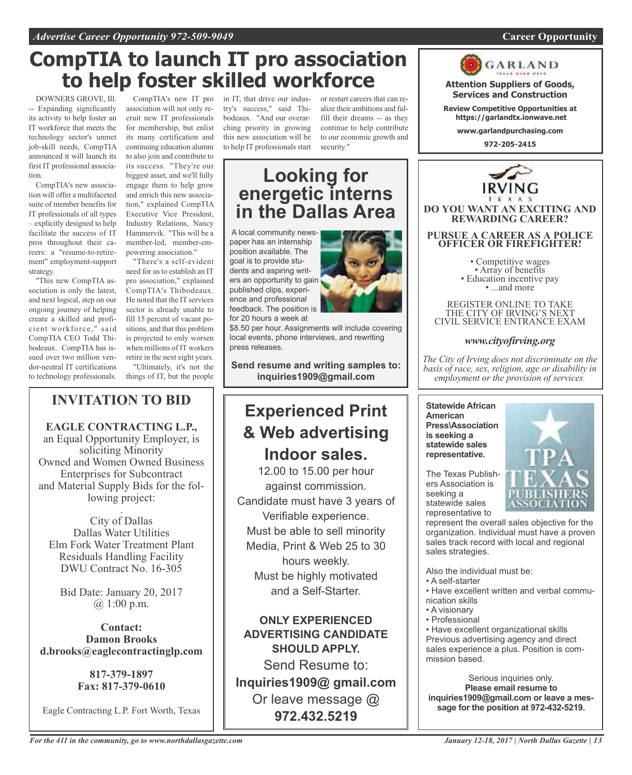### **CompTIA to launch IT pro association to help foster skilled workforce**

DOWNERS GROVE, Ill. -- Expanding significantly its activity to help foster an IT workforce that meets the technology sector's unmet job-skill needs, CompTIA announced it will launch its first IT professional association.

CompTIA's new association will offer a multifaceted suite of member benefits for IT professionals of all types – explicitly designed to help facilitate the success of IT pros throughout their careers: a "resume-to-retirement" employment-support strategy.

"This new CompTIA association is only the latest, and next logical, step on our ongoing journey of helping create a skilled and proficient workforce," said CompTIA CEO Todd Thibodeaux. CompTIA has issued over two million vendor-neutral IT certifications to technology professionals.

CompTIA's new IT pro association will not only recruit new IT professionals for membership, but enlist its many certification and continuing education alumni to also join and contribute to its success. "They're our biggest asset, and we'll fully engage them to help grow and enrich this new association," explained CompTIA Executive Vice President, Industry Relations, Nancy Hammervik. "This will be a member-led, member-empowering association."

"There's a self-evident need for us to establish an IT pro association," explained CompTIA's Thibodeaux. He noted that the IT services sector is already unable to fill 15 percent of vacant positions, and that this problem is projected to only worsen when millions of IT workers retire in the next eight years.

"Ultimately, it's not the things of IT, but the people

### **INVITATION TO BID**

**EAGLE CONTRACTING L.P.,** an Equal Opportunity Employer, is soliciting Minority Owned and Women Owned Business Enterprises for Subcontract and Material Supply Bids for the following project: .

City of Dallas Dallas Water Utilities Elm Fork Water Treatment Plant Residuals Handling Facility DWU Contract No. 16-305

Bid Date: January 20, 2017  $(a) 1:00 \text{ p.m.}$ 

**Contact: Damon Brooks d.brooks@eaglecontractinglp.com**

> **817-379-1897 Fax: 817-379-0610**

Eagle Contracting L.P. Fort Worth, Texas

in IT, that drive our industry's success," said Thibodeaux. "And our overarching priority in growing this new association will be to help IT professionals start

or restart careers that can realize their ambitions and fulfill their dreams -- as they continue to help contribute to our economic growth and security."

### **Looking for energetic interns in the Dallas Area**

A local community newspaper has an internship position available. The goal is to provide students and aspiring writers an opportunity to gain published clips, experience and professional feedback. The position is for 20 hours a week at



\$8.50 per hour. Assignments will include covering local events, phone interviews, and rewriting press releases.

**Send resume and writing samples to:**

**inquiries1909@gmail.com**

### **Experienced Print & Web advertising Indoor sales.**

12.00 to 15.00 per hour against commission. Candidate must have 3 years of Verifiable experience. Must be able to sell minority Media, Print & Web 25 to 30 hours weekly. Must be highly motivated and a Self-Starter.

### **ONLY EXPERIENCED ADVERTISING CANDIDATE SHOULD APPLY.**

Send Resume to: **Inquiries1909@ gmail.com** Or leave message @ **972.432.5219**



**Attention Suppliers of Goods, Services and Construction**

**Review Competitive Opportunities at https://garlandtx.ionwave.net**

**www.garlandpurchasing.com**

**972-205-2415**



REGISTER ONLINE TO TAKE THE CITY OF IRVING'S NEXT CIVIL SERVICE ENTRANCE EXAM

### *www.cityofirving.org*

*The City of Irving does not discriminate on the basis of race, sex, religion, age or disability in employment or the provision of services.*

**Statewide African American Press\Association is seeking a statewide sales representative.**



The Texas Publishers Association is seeking a statewide sales representative to

represent the overall sales objective for the organization. Individual must have a proven sales track record with local and regional sales strategies.

Also the individual must be:

- A self-starter
- Have excellent written and verbal communication skills
- A visionary
- Professional

• Have excellent organizational skills Previous advertising agency and direct sales experience a plus. Position is commission based.

Serious inquiries only. **Please email resume to inquiries1909@gmail.com or leave a message for the position at 972-432-5219.**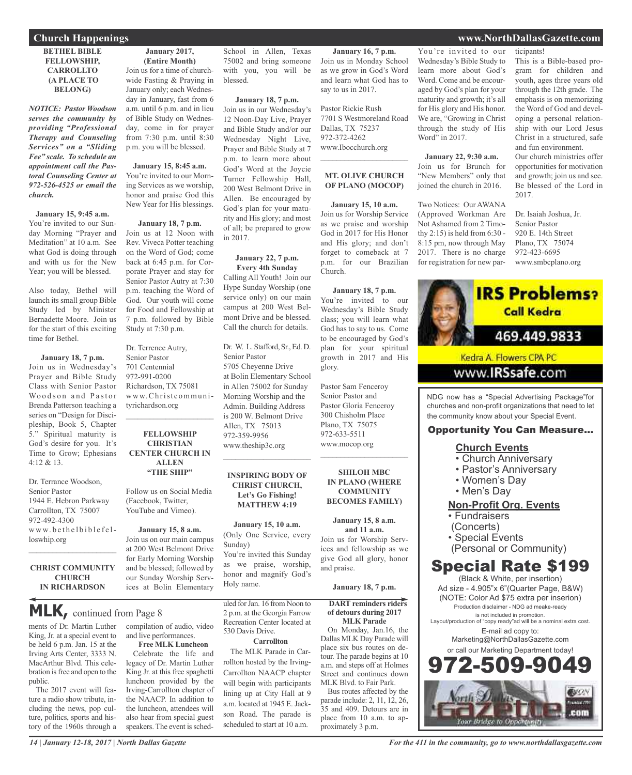#### **BETHEL BIBLE FELLOWSHIP, CARROLLTO (A PLACE TO BELONG)**

*NOTICE: Pastor Woodson serves the community by providing "Professional Therapy and Counseling Services" on a "Sliding Fee" scale. To schedule an appointment call the Pastoral Counseling Center at 972-526-4525 or email the church.*

#### **January 15, 9:45 a.m.**

You're invited to our Sunday Morning "Prayer and Meditation" at 10 a.m. See what God is doing through and with us for the New Year; you will be blessed.

Also today, Bethel will launch its small group Bible Study led by Minister Bernadette Moore. Join us for the start of this exciting time for Bethel.

#### **January 18, 7 p.m.** Join us in Wednesday's Prayer and Bible Study Class with Senior Pastor Woodson and Pastor Brenda Patterson teaching a series on "Design for Discipleship, Book 5, Chapter 5." Spiritual maturity is God's desire for you. It's Time to Grow; Ephesians  $4.12 & 8.13$

Dr. Terrance Woodson, Senior Pastor 1944 E. Hebron Parkway Carrollton, TX 75007 972-492-4300 www.bethelbiblefelloswhip.org

#### **CHRIST COMMUNITY CHURCH IN RICHARDSON**

 $\mathcal{L}_\text{max}$  and  $\mathcal{L}_\text{max}$  and  $\mathcal{L}_\text{max}$ 

**MLK,** continued from Page <sup>8</sup>

ments of Dr. Martin Luther King, Jr. at a special event to be held 6 p.m. Jan. 15 at the Irving Arts Center, 3333 N. MacArthur Blvd. This celebration isfree and open to the public.

The 2017 event will feature a radio show tribute, including the news, pop culture, politics, sports and history of the 1960s through a

**January 2017, (Entire Month)** Join us for a time of churchwide Fasting & Praying in January only; each Wednesday in January, fast from 6 a.m. until 6 p.m. and in lieu

of Bible Study on Wednesday, come in for prayer from 7:30 p.m. until 8:30 p.m. you will be blessed.

#### **January 15, 8:45 a.m.** You're invited to our Morning Services as we worship, honor and praise God this New Year for His blessings.

**January 18, 7 p.m.** Join us at 12 Noon with Rev. Viveca Potter teaching on the Word of God; come back at 6:45 p.m. for Corporate Prayer and stay for Senior Pastor Autry at 7:30 p.m. teaching the Word of God. Our youth will come for Food and Fellowship at 7 p.m. followed by Bible Study at 7:30 p.m.

Dr. Terrence Autry, Senior Pastor 701 Centennial 972-991-0200 Richardson, TX 75081 www.Christcommunityrichardson.org

 $\mathcal{L}=\mathcal{L}^{\mathcal{L}}$  , where  $\mathcal{L}^{\mathcal{L}}$  , we have the set of the set of the set of the set of the set of the set of the set of the set of the set of the set of the set of the set of the set of the set of the set of

#### **FELLOWSHIP CHRISTIAN CENTER CHURCH IN ALLEN "THE SHIP"**

Follow us on Social Media (Facebook, Twitter, YouTube and Vimeo).

**January 15, 8 a.m.** Join us on our main campus at 200 West Belmont Drive for Early Morning Worship and be blessed; followed by our Sunday Worship Services at Bolin Elementary

compilation of audio, video and live performances.

**Free MLK Luncheon** Celebrate the life and legacy of Dr. Martin Luther King Jr. at this free spaghetti luncheon provided by the Irving-Carrollton chapter of the NAACP. In addition to the luncheon, attendees will also hear from special guest speakers. The event is sched-

School in Allen, Texas 75002 and bring someone with you, you will be blessed.

#### **January 18, 7 p.m.**

Join us in our Wednesday's 12 Noon-Day Live, Prayer and Bible Study and/or our Wednesday Night Live, Prayer and Bible Study at 7 p.m. to learn more about God's Word at the Joycie Turner Fellowship Hall, 200 West Belmont Drive in Allen. Be encouraged by God's plan for your maturity and His glory; and most of all; be prepared to grow in 2017.

#### **January 22, 7 p.m. Every 4th Sunday**

Calling All Youth! Join our Hype Sunday Worship (one service only) on our main campus at 200 West Belmont Drive and be blessed. Call the church for details.

Dr. W. L. Stafford, Sr., Ed. D. Senior Pastor 5705 Cheyenne Drive at Bolin Elementary School in Allen 75002 for Sunday Morning Worship and the Admin. Building Address is 200 W. Belmont Drive Allen, TX 75013 972-359-9956 www.theship3c.org  $\mathcal{L}=\mathcal{L}^{\mathcal{L}}$  , where  $\mathcal{L}^{\mathcal{L}}$  , we have the set of the set of the set of the set of the set of the set of the set of the set of the set of the set of the set of the set of the set of the set of the set of

#### **INSPIRING BODY OF CHRIST CHURCH, Let's Go Fishing! MATTHEW 4:19**

**January 15, 10 a.m.** (Only One Service, every Sunday)

You're invited this Sunday as we praise, worship, honor and magnify God's Holy name.

uled for Jan. 16 from Noon to 2 p.m. at the Georgia Farrow Recreation Center located at 530 Davis Drive.

#### **Carrollton**

The MLK Parade in Carrollton hosted by the Irving-Carrollton NAACP chapter will begin with participants lining up at City Hall at 9 a.m. located at 1945 E. Jackson Road. The parade is scheduled to start at 10 a.m.

**January 16, 7 p.m.** Join us in Monday School as we grow in God's Word and learn what God has to say to us in 2017.

Pastor Rickie Rush 7701 S Westmoreland Road Dallas, TX 75237 972-372-4262 www.Ibocchurch.org

#### **MT. OLIVE CHURCH OF PLANO (MOCOP)**

 $\mathcal{L}$  , and the set of the set of the set of the set of the set of the set of the set of the set of the set of the set of the set of the set of the set of the set of the set of the set of the set of the set of the set

**January 15, 10 a.m.** Join us for Worship Service as we praise and worship God in 2017 for His Honor and His glory; and don't forget to comeback at 7 p.m. for our Brazilian Church.

**January 18, 7 p.m.** You're invited to our

Wednesday's Bible Study class; you will learn what God has to say to us. Come to be encouraged by God's plan for your spiritual growth in 2017 and His glory.

Pastor Sam Fenceroy Senior Pastor and Pastor Gloria Fenceroy 300 Chisholm Place Plano, TX 75075 972-633-5511 www.mocop.org  $\mathcal{L}$  , and the set of the set of the set of the set of the set of the set of the set of the set of the set of the set of the set of the set of the set of the set of the set of the set of the set of the set of the set

**SHILOH MBC IN PLANO (WHERE COMMUNITY BECOMES FAMILY)**

#### **January 15, 8 a.m. and 11 a.m.**

Join us for Worship Services and fellowship as we give God all glory, honor and praise.

### **January 18, 7 p.m.**

**DART reminders riders of detours during 2017 MLK Parade**

On Monday, Jan.16, the Dallas MLK Day Parade will place six bus routes on detour. The parade begins at 10 a.m. and steps off at Holmes Street and continues down MLK Blvd. to Fair Park.

Bus routes affected by the parade include: 2, 11, 12, 26, 35 and 409. Detours are in place from 10 a.m. to approximately 3 p.m.

You're invited to our Wednesday's Bible Study to learn more about God's Word. Come and be encouraged by God's plan for your maturity and growth; it's all for His glory and His honor. We are, "Growing in Christ through the study of His Word" in 2017.

**January 22, 9:30 a.m.** Join us for Brunch for "New Members" only that joined the church in 2016.

Two Notices: Our AWANA (Approved Workman Are Not Ashamed from 2 Timothy 2:15) is held from 6:30 - 8:15 pm, now through May 2017. There is no charge for registration for new par-

#### ticipants! This is a Bible-based program for children and youth, ages three years old through the 12th grade. The emphasis is on memorizing the Word of God and developing a personal relationship with our Lord Jesus Christ in a structured, safe and fun environment. Our church ministries offer opportunities for motivation

and growth; join us and see. Be blessed of the Lord in 2017.

Dr. Isaiah Joshua, Jr. Senior Pastor 920 E. 14th Street Plano, TX 75074 972-423-6695 www.smbcplano.org



churches and non-profit organizations that need to let the community know about your Special Event.

### Opportunity You Can Measure...

### **Church Events**

- Church Anniversary
- Pastor's Anniversary
- Women's Day
- Men's Day

### **Non-Profit Org. Events**

- Fundraisers
- (Concerts)
- Special Events
- (Personal or Community)

### Special Rate \$199

(Black & White, per insertion) Ad size - 4.905"x 6"(Quarter Page, B&W) (NOTE: Color Ad \$75 extra per inserion) Production disclaimer - NDG ad meake-ready is not included in promotion. Layout/production of "copy ready"ad will be a nominal extra cost. E-mail ad copy to: Marketing@NorthDallasGazette.com or call our Marketing Department today! 2-509-90 **EUON** 

com

*For the 411 in the community, go to www.northdallasgazette.com*

### **Church Happenings www.NorthDallasGazette.com**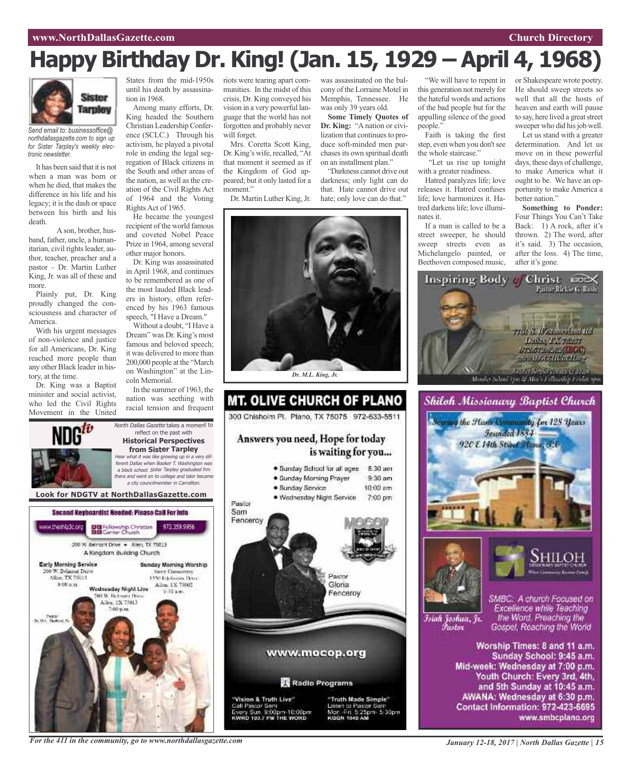# **Happy Birthday Dr. King! (Jan. 15, 1929 – April 4, 1968)**



*Send email to: businessoffice@ northdallasgazette.com to sign up for Sister Tarpley's weekly electronic newsletter.*

It has been said that it is not when a man was born or when he died, that makes the difference in his life and his legacy; it is the dash or space between his birth and his death.

A son, brother, husband, father, uncle, a humanitarian, civil rights leader, author, teacher, preacher and a pastor – Dr. Martin Luther King, Jr. was all of these and more.

Plainly put, Dr. King proudly changed the consciousness and character of America.

With his urgent messages of non-violence and justice for all Americans, Dr. King reached more people than any other Black leader in history, at the time.

Dr. King was a Baptist minister and social activist, who led the Civil Rights Movement in the United

ww.theship3c.org

Early Morning Service

00 W. Belmont Drive

Alice TX 75013

 $0.004m$ 

Tv.Wit. Nam

until his death by assassination in 1968.

Among many efforts, Dr. King headed the Southern Christian Leadership Conference (SCLC.) Through his activism, he played a pivotal role in ending the legal segregation of Black citizens in the South and other areas of the nation, as well as the creation of the Civil Rights Act of 1964 and the Voting Rights Act of 1965.

He became the youngest recipient of the world famous and coveted Nobel Peace Prize in 1964, among several other major honors.

Dr. King was assassinated in April 1968, and continues to be remembered as one of the most lauded Black leaders in history, often referenced by his 1963 famous speech, "I Have a Dream."

Without a doubt, "I Have a Dream" was Dr. King's most famous and beloved speech; it was delivered to more than 200,000 people at the "March on Washington" at the Lincoln Memorial.

In the summer of 1963, the nation was seething with racial tension and frequent

972.359.9956

Sunday Morning Worship

**Novy Demectors** 

1450 Ethnologies Drug-

Allen, 1X 75002

North Dallas Gazette takes a moment to reflect on the past with **Historical Perspectives from Sister Tarpley** Hear what it was like growing up in <sup>a</sup> very different Dallas when Booker T. Washington was <sup>a</sup> black school. Sister Tarpley graduated frm there and went on to college and later became <sup>a</sup> city councilmember in Carrollton.

**Look for NDGTV at NorthDallasGazette.com**

Second Keyboardist Needed: Please CaB For Info

DE Fellowship Christian<br>BIB Center Church

200 W. Bernsht Drive . - Allen, TX 75013 A Kingdom Building Church

Wadnasday Night Live

**DO W. Retroem Days** 

Allen, TX 75013

States from the mid-1950s riots were tearing apart communities. In the midst of this crisis, Dr. King conveyed his vision in a very powerful language that the world has not forgotten and probably never will forget.

Mrs. Coretta Scott King, Dr. King's wife, recalled, "At that moment it seemed as if the Kingdom of God appeared; but it only lasted for a moment."

Dr. Martin Luther King, Jr.

was assassinated on the balcony of the Lorraine Motel in Memphis, Tennessee. He was only 39 years old.

**Some Timely Quotes of Dr. King:** "A nation or civilization that continues to produce soft-minded men purchases its own spiritual death on an installment plan."

"Darkness cannot drive out darkness; only light can do that. Hate cannot drive out hate; only love can do that."



### **MT. OLIVE CHURCH OF PLANO** 300 Chishoim Pl. Plano, TX 75075 972-633-5511 Answers you need, Hope for today is waiting for you... · Sunday School for all ages 8:30 am · Sunday Morning Prayer  $9.30$  am · Sunday Service  $10:00$  am · Wednesday Night Service 7:00 pm Pastor Sam Fenceroy **RATIVE** Gloria Fenceroy www.mocop.org Radio Programs "Vision & Truth Live" "Truth Made Simple" Jisten to Pastor San Call Pastor Sam ry Sun. 9:00pm-10:00pm<br>RD 193.7 FM THE WORD Mor. Fri. 5:25pm. 5:30pm<br>коон 1040 AM

"We will have to repent in this generation not merely for the hateful words and actions of the bad people but for the appalling silence of the good people."

Faith is taking the first step, even when you don't see the whole staircase."

"Let us rise up tonight with a greater readiness.

Hatred paralyzes life; love releases it. Hatred confuses life; love harmonizes it. Hatred darkens life; love illuminates it.

If a man is called to be a street sweeper, he should sweep streets even as Michelangelo painted, or Beethoven composed music, or Shakespeare wrote poetry. He should sweep streets so well that all the hosts of heaven and earth will pause to say, here lived a great street sweeper who did his job well.

Let us stand with a greater determination. And let us move on in these powerful days, these days of challenge, to make America what it ought to be. We have an opportunity to make America a better nation."

**Something to Ponder:** Four Things You Can't Take Back: 1) A rock, after it's thrown. 2) The word, after it's said. 3) The occasion, after the loss. 4) The time, after it's gone.







Islah Joshua, Jr. *Tustov* 

SMBC: A church Focused on Excellence while Teaching the Word. Preaching the Gospel, Reaching the World

Worship Times: 8 and 11 a.m. Sunday School: 9:45 a.m. Mid-week: Wednesday at 7:00 p.m. Youth Church: Every 3rd, 4th, and 5th Sunday at 10:45 a.m. AWANA: Wednesday at 6:30 p.m. Contact Information: 972-423-6695 www.smbcplano.org

*For the 411 in the community, go to www.northdallasgazette.com*